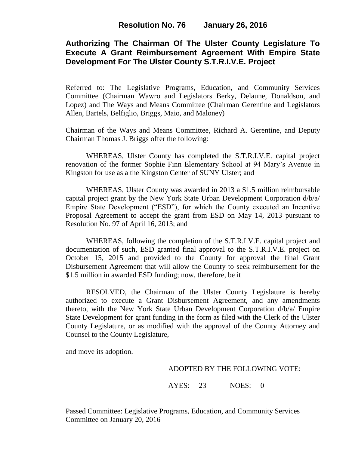# **Authorizing The Chairman Of The Ulster County Legislature To Execute A Grant Reimbursement Agreement With Empire State Development For The Ulster County S.T.R.I.V.E. Project**

Referred to: The Legislative Programs, Education, and Community Services Committee (Chairman Wawro and Legislators Berky, Delaune, Donaldson, and Lopez) and The Ways and Means Committee (Chairman Gerentine and Legislators Allen, Bartels, Belfiglio, Briggs, Maio, and Maloney)

Chairman of the Ways and Means Committee, Richard A. Gerentine, and Deputy Chairman Thomas J. Briggs offer the following:

WHEREAS, Ulster County has completed the S.T.R.I.V.E. capital project renovation of the former Sophie Finn Elementary School at 94 Mary's Avenue in Kingston for use as a the Kingston Center of SUNY Ulster; and

WHEREAS, Ulster County was awarded in 2013 a \$1.5 million reimbursable capital project grant by the New York State Urban Development Corporation d/b/a/ Empire State Development ("ESD"), for which the County executed an Incentive Proposal Agreement to accept the grant from ESD on May 14, 2013 pursuant to Resolution No. 97 of April 16, 2013; and

WHEREAS, following the completion of the S.T.R.I.V.E. capital project and documentation of such, ESD granted final approval to the S.T.R.I.V.E. project on October 15, 2015 and provided to the County for approval the final Grant Disbursement Agreement that will allow the County to seek reimbursement for the \$1.5 million in awarded ESD funding; now, therefore, be it

RESOLVED, the Chairman of the Ulster County Legislature is hereby authorized to execute a Grant Disbursement Agreement, and any amendments thereto, with the New York State Urban Development Corporation d/b/a/ Empire State Development for grant funding in the form as filed with the Clerk of the Ulster County Legislature, or as modified with the approval of the County Attorney and Counsel to the County Legislature,

and move its adoption.

### ADOPTED BY THE FOLLOWING VOTE:

AYES: 23 NOES: 0

Passed Committee: Legislative Programs, Education, and Community Services Committee on January 20, 2016